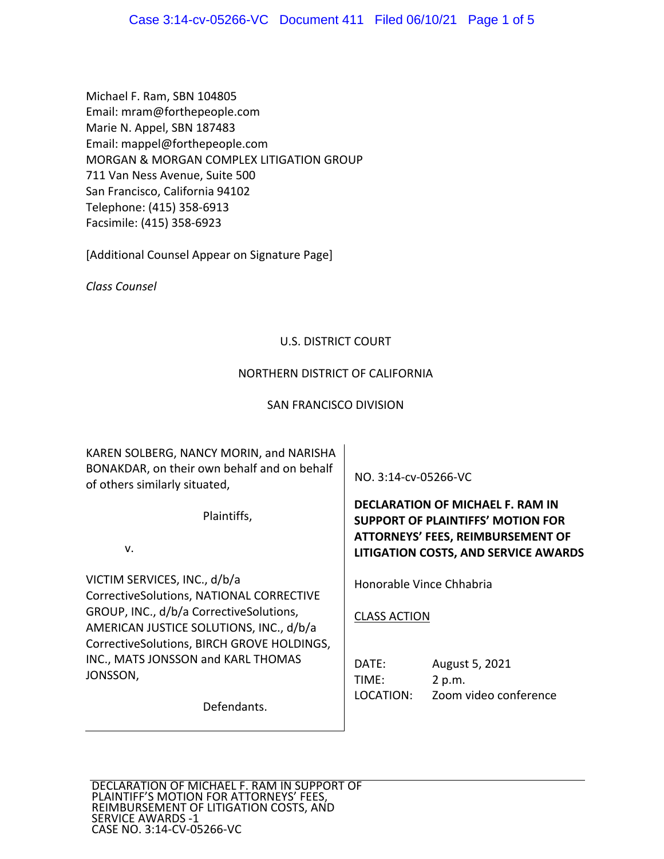Michael F. Ram, SBN 104805 Email: mram@forthepeople.com Marie N. Appel, SBN 187483 Email: mappel@forthepeople.com MORGAN & MORGAN COMPLEX LITIGATION GROUP 711 Van Ness Avenue, Suite 500 San Francisco, California 94102 Telephone: (415) 358‐6913 Facsimile: (415) 358‐6923

[Additional Counsel Appear on Signature Page]

*Class Counsel* 

### U.S. DISTRICT COURT

### NORTHERN DISTRICT OF CALIFORNIA

### SAN FRANCISCO DIVISION

KAREN SOLBERG, NANCY MORIN, and NARISHA BONAKDAR, on their own behalf and on behalf of others similarly situated,

Plaintiffs,

v.

VICTIM SERVICES, INC., d/b/a CorrectiveSolutions, NATIONAL CORRECTIVE GROUP, INC., d/b/a CorrectiveSolutions, AMERICAN JUSTICE SOLUTIONS, INC., d/b/a CorrectiveSolutions, BIRCH GROVE HOLDINGS, INC., MATS JONSSON and KARL THOMAS JONSSON,

Defendants.

NO. 3:14‐cv‐05266‐VC

**DECLARATION OF MICHAEL F. RAM IN SUPPORT OF PLAINTIFFS' MOTION FOR ATTORNEYS' FEES, REIMBURSEMENT OF LITIGATION COSTS, AND SERVICE AWARDS**

Honorable Vince Chhabria

CLASS ACTION

| DATE:     | August 5, 2021        |
|-----------|-----------------------|
| TIME:     | 2 p.m.                |
| LOCATION: | Zoom video conference |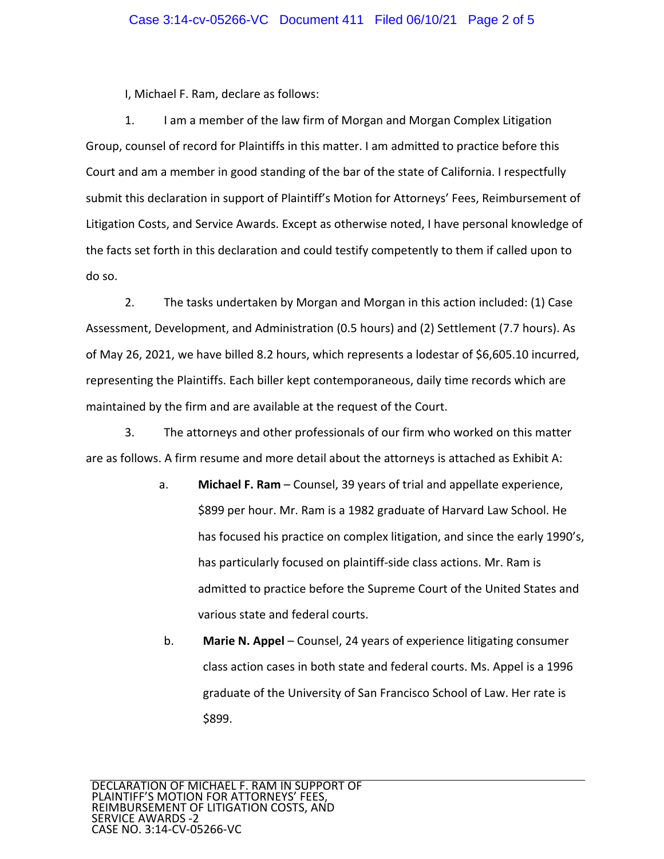I, Michael F. Ram, declare as follows:

1. I am a member of the law firm of Morgan and Morgan Complex Litigation Group, counsel of record for Plaintiffs in this matter. I am admitted to practice before this Court and am a member in good standing of the bar of the state of California. I respectfully submit this declaration in support of Plaintiff's Motion for Attorneys' Fees, Reimbursement of Litigation Costs, and Service Awards. Except as otherwise noted, I have personal knowledge of the facts set forth in this declaration and could testify competently to them if called upon to do so.

2. The tasks undertaken by Morgan and Morgan in this action included: (1) Case Assessment, Development, and Administration (0.5 hours) and (2) Settlement (7.7 hours). As of May 26, 2021, we have billed 8.2 hours, which represents a lodestar of \$6,605.10 incurred, representing the Plaintiffs. Each biller kept contemporaneous, daily time records which are maintained by the firm and are available at the request of the Court.

3. The attorneys and other professionals of our firm who worked on this matter are as follows. A firm resume and more detail about the attorneys is attached as Exhibit A:

- a. **Michael F. Ram**  Counsel, 39 years of trial and appellate experience, \$899 per hour. Mr. Ram is a 1982 graduate of Harvard Law School. He has focused his practice on complex litigation, and since the early 1990's, has particularly focused on plaintiff-side class actions. Mr. Ram is admitted to practice before the Supreme Court of the United States and various state and federal courts.
- b. **Marie N. Appel** Counsel, 24 years of experience litigating consumer class action cases in both state and federal courts. Ms. Appel is a 1996 graduate of the University of San Francisco School of Law. Her rate is \$899.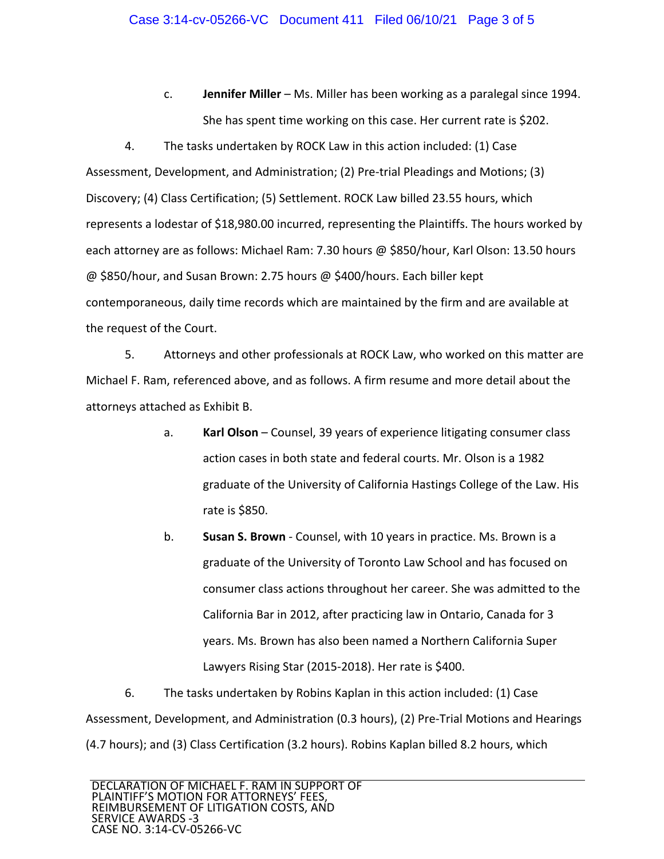c. **Jennifer Miller** – Ms. Miller has been working as a paralegal since 1994. She has spent time working on this case. Her current rate is \$202.

4. The tasks undertaken by ROCK Law in this action included: (1) Case Assessment, Development, and Administration; (2) Pre‐trial Pleadings and Motions; (3) Discovery; (4) Class Certification; (5) Settlement. ROCK Law billed 23.55 hours, which represents a lodestar of \$18,980.00 incurred, representing the Plaintiffs. The hours worked by each attorney are as follows: Michael Ram: 7.30 hours @ \$850/hour, Karl Olson: 13.50 hours @ \$850/hour, and Susan Brown: 2.75 hours @ \$400/hours. Each biller kept contemporaneous, daily time records which are maintained by the firm and are available at the request of the Court.

5. Attorneys and other professionals at ROCK Law, who worked on this matter are Michael F. Ram, referenced above, and as follows. A firm resume and more detail about the attorneys attached as Exhibit B.

- a. **Karl Olson** Counsel, 39 years of experience litigating consumer class action cases in both state and federal courts. Mr. Olson is a 1982 graduate of the University of California Hastings College of the Law. His rate is \$850.
- b. **Susan S. Brown** ‐ Counsel, with 10 years in practice. Ms. Brown is a graduate of the University of Toronto Law School and has focused on consumer class actions throughout her career. She was admitted to the California Bar in 2012, after practicing law in Ontario, Canada for 3 years. Ms. Brown has also been named a Northern California Super Lawyers Rising Star (2015‐2018). Her rate is \$400.

6. The tasks undertaken by Robins Kaplan in this action included: (1) Case Assessment, Development, and Administration (0.3 hours), (2) Pre‐Trial Motions and Hearings (4.7 hours); and (3) Class Certification (3.2 hours). Robins Kaplan billed 8.2 hours, which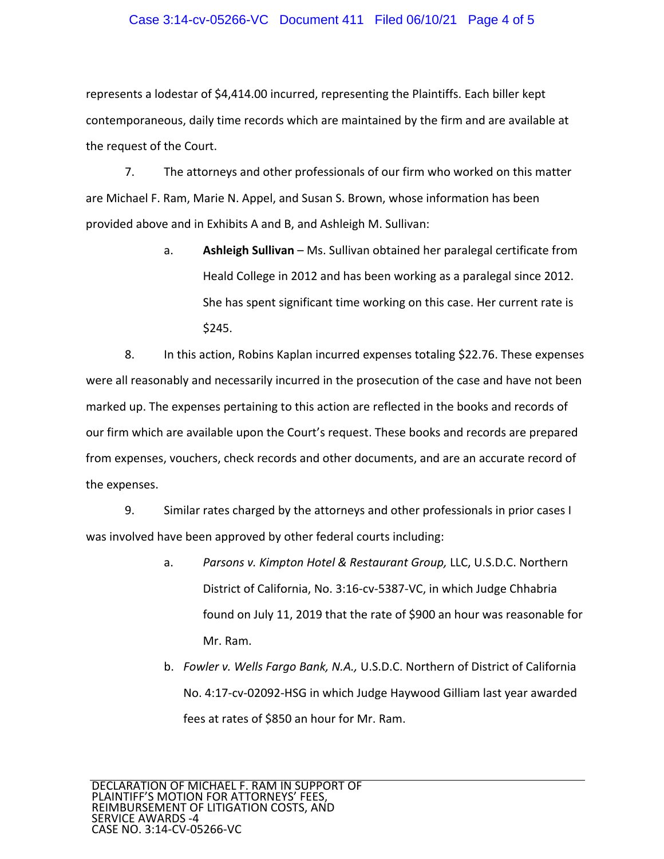### Case 3:14-cv-05266-VC Document 411 Filed 06/10/21 Page 4 of 5

represents a lodestar of \$4,414.00 incurred, representing the Plaintiffs. Each biller kept contemporaneous, daily time records which are maintained by the firm and are available at the request of the Court.

7. The attorneys and other professionals of our firm who worked on this matter are Michael F. Ram, Marie N. Appel, and Susan S. Brown, whose information has been provided above and in Exhibits A and B, and Ashleigh M. Sullivan:

> a. **Ashleigh Sullivan** – Ms. Sullivan obtained her paralegal certificate from Heald College in 2012 and has been working as a paralegal since 2012. She has spent significant time working on this case. Her current rate is \$245.

8. In this action, Robins Kaplan incurred expenses totaling \$22.76. These expenses were all reasonably and necessarily incurred in the prosecution of the case and have not been marked up. The expenses pertaining to this action are reflected in the books and records of our firm which are available upon the Court's request. These books and records are prepared from expenses, vouchers, check records and other documents, and are an accurate record of the expenses.

9. Similar rates charged by the attorneys and other professionals in prior cases I was involved have been approved by other federal courts including:

- a. *Parsons v. Kimpton Hotel & Restaurant Group,* LLC, U.S.D.C. Northern District of California, No. 3:16‐cv‐5387‐VC, in which Judge Chhabria found on July 11, 2019 that the rate of \$900 an hour was reasonable for Mr. Ram.
- b. *Fowler v. Wells Fargo Bank, N.A.,* U.S.D.C. Northern of District of California No. 4:17‐cv‐02092‐HSG in which Judge Haywood Gilliam last year awarded fees at rates of \$850 an hour for Mr. Ram.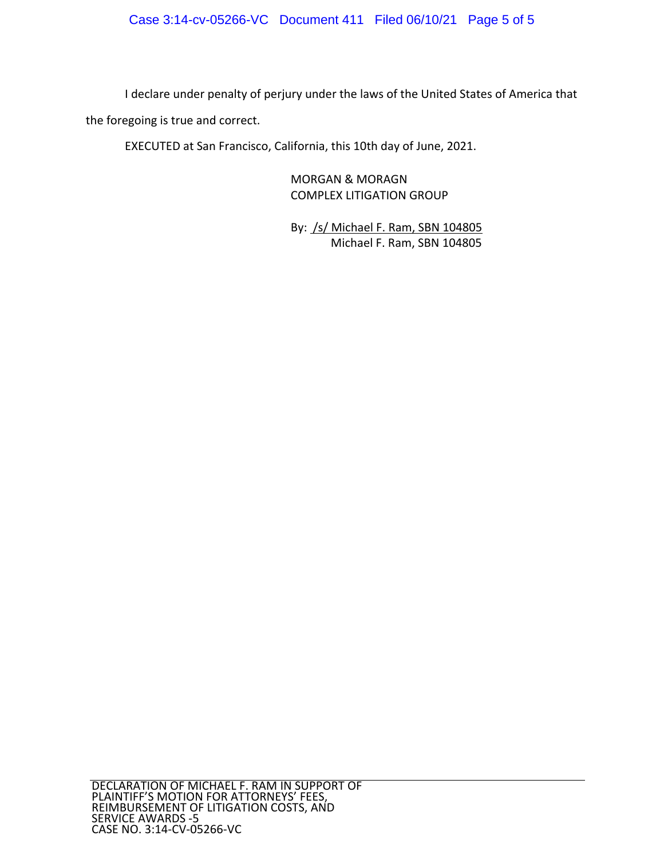### Case 3:14-cv-05266-VC Document 411 Filed 06/10/21 Page 5 of 5

I declare under penalty of perjury under the laws of the United States of America that the foregoing is true and correct.

EXECUTED at San Francisco, California, this 10th day of June, 2021.

MORGAN & MORAGN COMPLEX LITIGATION GROUP

By: /s/ Michael F. Ram, SBN 104805 Michael F. Ram, SBN 104805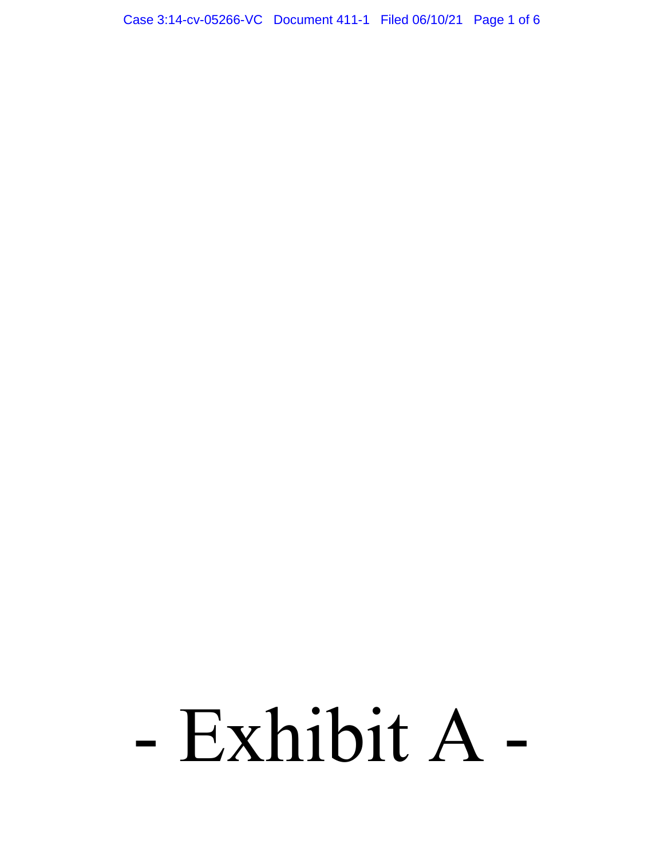Case 3:14-cv-05266-VC Document 411-1 Filed 06/10/21 Page 1 of 6

# - Exhibit A -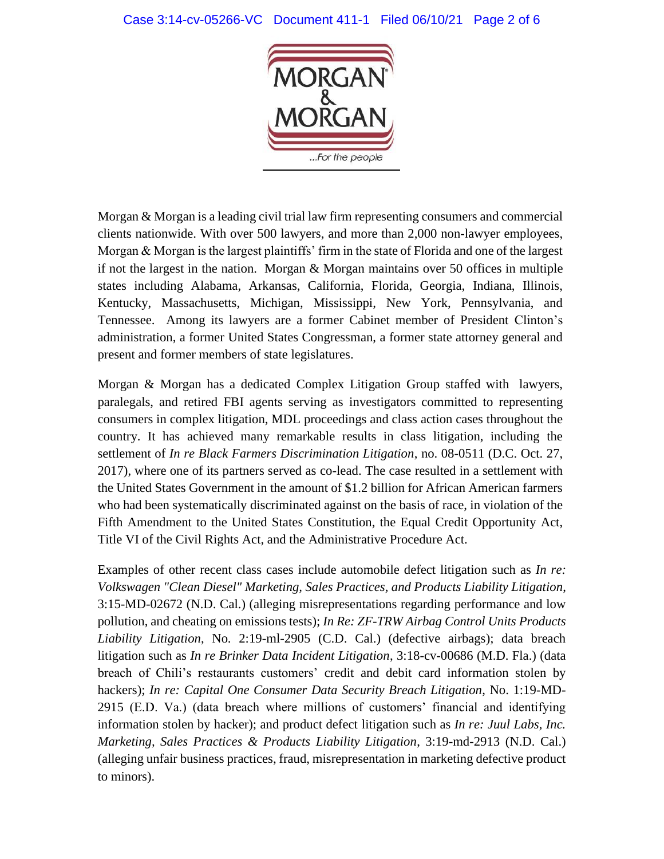### Case 3:14-cv-05266-VC Document 411-1 Filed 06/10/21 Page 2 of 6



Morgan & Morgan is a leading civil trial law firm representing consumers and commercial clients nationwide. With over 500 lawyers, and more than 2,000 non-lawyer employees, Morgan & Morgan is the largest plaintiffs' firm in the state of Florida and one of the largest if not the largest in the nation. Morgan & Morgan maintains over 50 offices in multiple states including Alabama, Arkansas, California, Florida, Georgia, Indiana, Illinois, Kentucky, Massachusetts, Michigan, Mississippi, New York, Pennsylvania, and Tennessee. Among its lawyers are a former Cabinet member of President Clinton's administration, a former United States Congressman, a former state attorney general and present and former members of state legislatures.

Morgan & Morgan has a dedicated Complex Litigation Group staffed with lawyers, paralegals, and retired FBI agents serving as investigators committed to representing consumers in complex litigation, MDL proceedings and class action cases throughout the country. It has achieved many remarkable results in class litigation, including the settlement of *In re Black Farmers Discrimination Litigation*, no. 08-0511 (D.C. Oct. 27, 2017), where one of its partners served as co-lead. The case resulted in a settlement with the United States Government in the amount of \$1.2 billion for African American farmers who had been systematically discriminated against on the basis of race, in violation of the Fifth Amendment to the United States Constitution, the Equal Credit Opportunity Act, Title VI of the Civil Rights Act, and the Administrative Procedure Act.

Examples of other recent class cases include automobile defect litigation such as *In re: Volkswagen "Clean Diesel" Marketing, Sales Practices, and Products Liability Litigation*, 3:15-MD-02672 (N.D. Cal.) (alleging misrepresentations regarding performance and low pollution, and cheating on emissions tests); *In Re: ZF-TRW Airbag Control Units Products Liability Litigation*, No. 2:19-ml-2905 (C.D. Cal.) (defective airbags); data breach litigation such as *In re Brinker Data Incident Litigation*, 3:18-cv-00686 (M.D. Fla.) (data breach of Chili's restaurants customers' credit and debit card information stolen by hackers); *In re: Capital One Consumer Data Security Breach Litigation*, No. 1:19-MD-2915 (E.D. Va.) (data breach where millions of customers' financial and identifying information stolen by hacker); and product defect litigation such as *In re: Juul Labs, Inc. Marketing, Sales Practices & Products Liability Litigation*, 3:19-md-2913 (N.D. Cal.) (alleging unfair business practices, fraud, misrepresentation in marketing defective product to minors).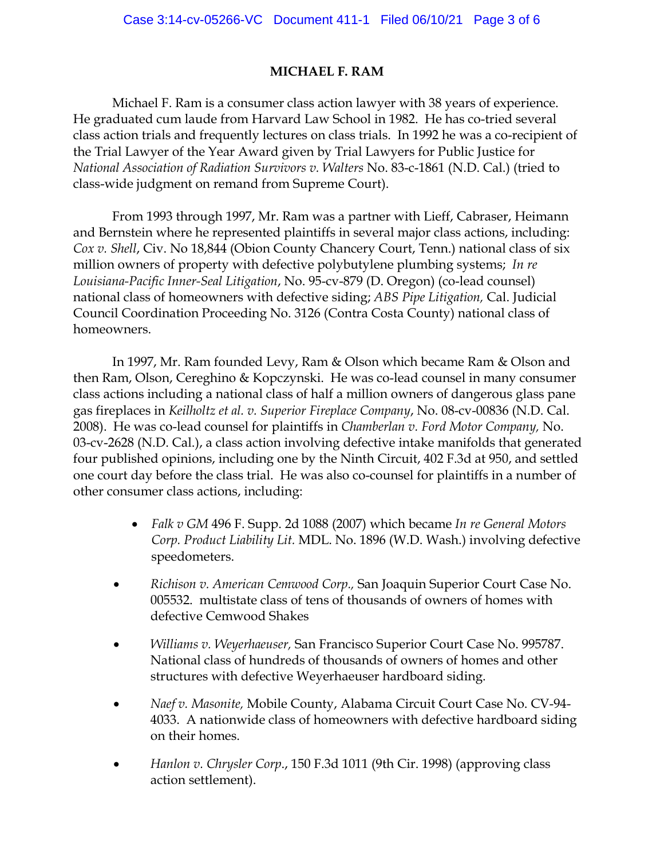### **MICHAEL F. RAM**

Michael F. Ram is a consumer class action lawyer with 38 years of experience. He graduated cum laude from Harvard Law School in 1982. He has co-tried several class action trials and frequently lectures on class trials. In 1992 he was a co-recipient of the Trial Lawyer of the Year Award given by Trial Lawyers for Public Justice for *National Association of Radiation Survivors v. Walters* No. 83-c-1861 (N.D. Cal.) (tried to class-wide judgment on remand from Supreme Court).

From 1993 through 1997, Mr. Ram was a partner with Lieff, Cabraser, Heimann and Bernstein where he represented plaintiffs in several major class actions, including: *Cox v. Shell*, Civ. No 18,844 (Obion County Chancery Court, Tenn.) national class of six million owners of property with defective polybutylene plumbing systems; *In re Louisiana-Pacific Inner-Seal Litigation*, No. 95-cv-879 (D. Oregon) (co-lead counsel) national class of homeowners with defective siding; *ABS Pipe Litigation,* Cal. Judicial Council Coordination Proceeding No. 3126 (Contra Costa County) national class of homeowners.

In 1997, Mr. Ram founded Levy, Ram & Olson which became Ram & Olson and then Ram, Olson, Cereghino & Kopczynski. He was co-lead counsel in many consumer class actions including a national class of half a million owners of dangerous glass pane gas fireplaces in *Keilholtz et al. v. Superior Fireplace Company*, No. 08-cv-00836 (N.D. Cal. 2008). He was co-lead counsel for plaintiffs in *Chamberlan v. Ford Motor Company,* No. 03-cv-2628 (N.D. Cal.), a class action involving defective intake manifolds that generated four published opinions, including one by the Ninth Circuit, 402 F.3d at 950, and settled one court day before the class trial. He was also co-counsel for plaintiffs in a number of other consumer class actions, including:

- *Falk v GM* 496 F. Supp. 2d 1088 (2007) which became *In re General Motors Corp. Product Liability Lit.* MDL. No. 1896 (W.D. Wash.) involving defective speedometers.
- *Richison v. American Cemwood Corp.,* San Joaquin Superior Court Case No. 005532. multistate class of tens of thousands of owners of homes with defective Cemwood Shakes
- *Williams v. Weyerhaeuser,* San Francisco Superior Court Case No. 995787. National class of hundreds of thousands of owners of homes and other structures with defective Weyerhaeuser hardboard siding.
- *Naef v. Masonite,* Mobile County, Alabama Circuit Court Case No. CV-94- 4033. A nationwide class of homeowners with defective hardboard siding on their homes.
- *Hanlon v. Chrysler Corp*., 150 F.3d 1011 (9th Cir. 1998) (approving class action settlement).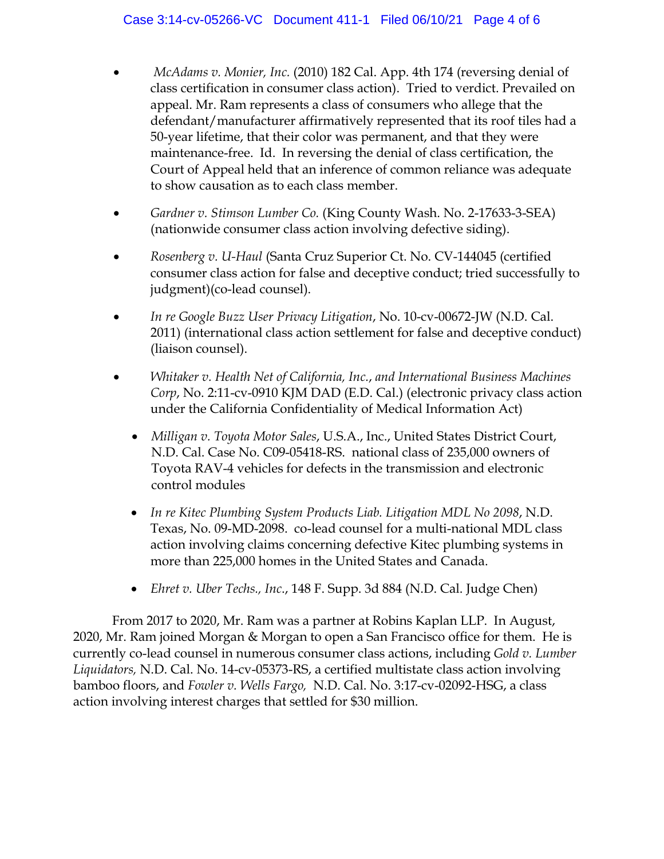- *McAdams v. Monier, Inc.* (2010) 182 Cal. App. 4th 174 (reversing denial of class certification in consumer class action). Tried to verdict. Prevailed on appeal. Mr. Ram represents a class of consumers who allege that the defendant/manufacturer affirmatively represented that its roof tiles had a 50-year lifetime, that their color was permanent, and that they were maintenance-free. Id. In reversing the denial of class certification, the Court of Appeal held that an inference of common reliance was adequate to show causation as to each class member.
- *Gardner v. Stimson Lumber Co.* (King County Wash. No. 2-17633-3-SEA) (nationwide consumer class action involving defective siding).
- *Rosenberg v. U-Haul* (Santa Cruz Superior Ct. No. CV-144045 (certified consumer class action for false and deceptive conduct; tried successfully to judgment)(co-lead counsel).
- *In re Google Buzz User Privacy Litigation*, No. 10-cv-00672-JW (N.D. Cal. 2011) (international class action settlement for false and deceptive conduct) (liaison counsel).
- *Whitaker v. Health Net of California, Inc.*, *and International Business Machines Corp*, No. 2:11-cv-0910 KJM DAD (E.D. Cal.) (electronic privacy class action under the California Confidentiality of Medical Information Act)
	- *Milligan v. Toyota Motor Sales*, U.S.A., Inc., United States District Court, N.D. Cal. Case No. C09-05418-RS. national class of 235,000 owners of Toyota RAV-4 vehicles for defects in the transmission and electronic control modules
	- *In re Kitec Plumbing System Products Liab. Litigation MDL No 2098*, N.D. Texas, No. 09-MD-2098. co-lead counsel for a multi-national MDL class action involving claims concerning defective Kitec plumbing systems in more than 225,000 homes in the United States and Canada.
	- *Ehret v. Uber Techs., Inc*., 148 F. Supp. 3d 884 (N.D. Cal. Judge Chen)

From 2017 to 2020, Mr. Ram was a partner at Robins Kaplan LLP. In August, 2020, Mr. Ram joined Morgan & Morgan to open a San Francisco office for them. He is currently co-lead counsel in numerous consumer class actions, including *Gold v. Lumber Liquidators,* N.D. Cal. No. 14-cv-05373-RS, a certified multistate class action involving bamboo floors, and *Fowler v. Wells Fargo,* N.D. Cal. No. 3:17-cv-02092-HSG, a class action involving interest charges that settled for \$30 million.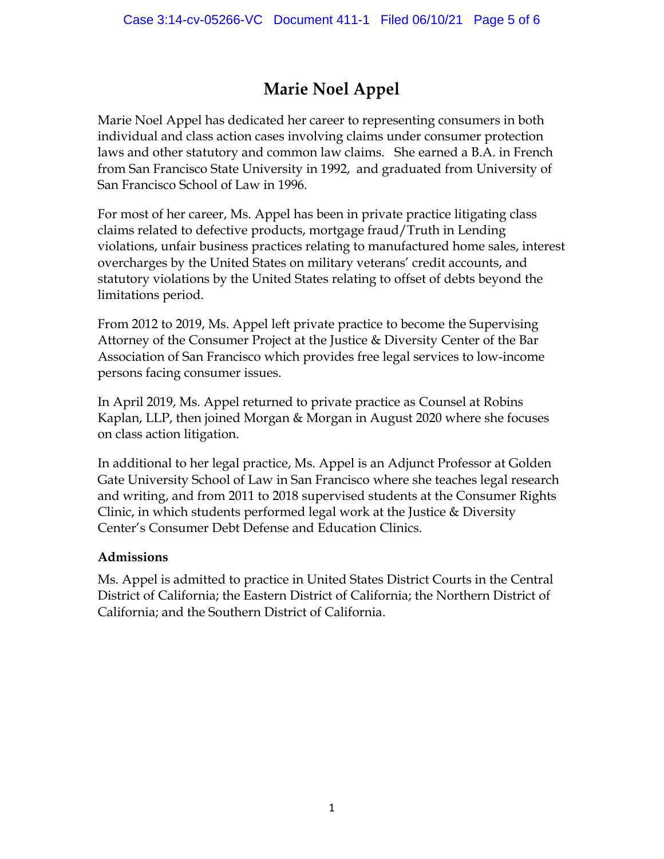## **Marie Noel Appel**

Marie Noel Appel has dedicated her career to representing consumers in both individual and class action cases involving claims under consumer protection laws and other statutory and common law claims. She earned a B.A. in French from San Francisco State University in 1992, and graduated from University of San Francisco School of Law in 1996.

For most of her career, Ms. Appel has been in private practice litigating class claims related to defective products, mortgage fraud/Truth in Lending violations, unfair business practices relating to manufactured home sales, interest overcharges by the United States on military veterans' credit accounts, and statutory violations by the United States relating to offset of debts beyond the limitations period.

From 2012 to 2019, Ms. Appel left private practice to become the Supervising Attorney of the Consumer Project at the Justice & Diversity Center of the Bar Association of San Francisco which provides free legal services to low-income persons facing consumer issues.

In April 2019, Ms. Appel returned to private practice as Counsel at Robins Kaplan, LLP, then joined Morgan & Morgan in August 2020 where she focuses on class action litigation.

In additional to her legal practice, Ms. Appel is an Adjunct Professor at Golden Gate University School of Law in San Francisco where she teaches legal research and writing, and from 2011 to 2018 supervised students at the Consumer Rights Clinic, in which students performed legal work at the Justice  $\&$  Diversity Center's Consumer Debt Defense and Education Clinics.

### **Admissions**

Ms. Appel is admitted to practice in United States District Courts in the Central District of California; the Eastern District of California; the Northern District of California; and the Southern District of California.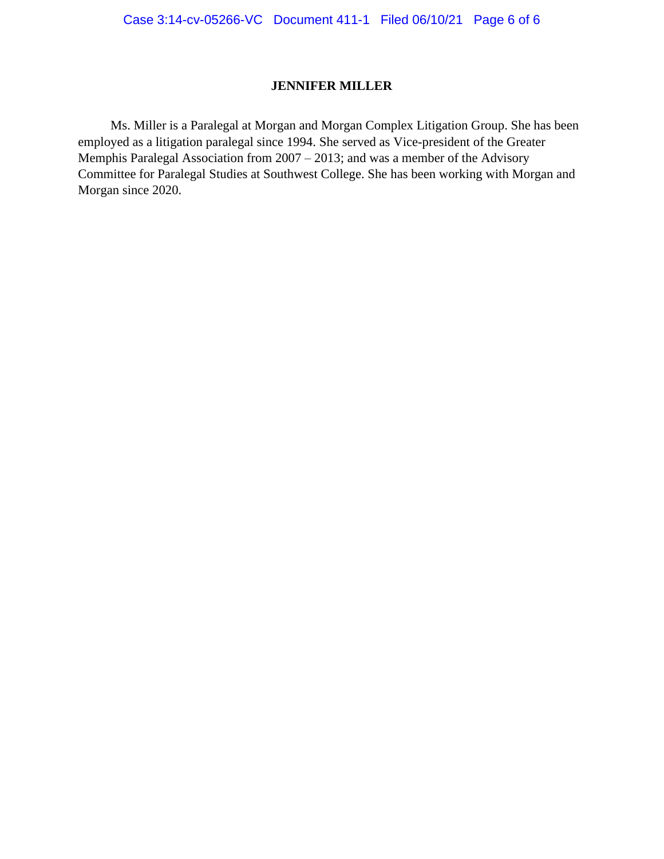### **JENNIFER MILLER**

 Ms. Miller is a Paralegal at Morgan and Morgan Complex Litigation Group. She has been employed as a litigation paralegal since 1994. She served as Vice-president of the Greater Memphis Paralegal Association from 2007 – 2013; and was a member of the Advisory Committee for Paralegal Studies at Southwest College. She has been working with Morgan and Morgan since 2020.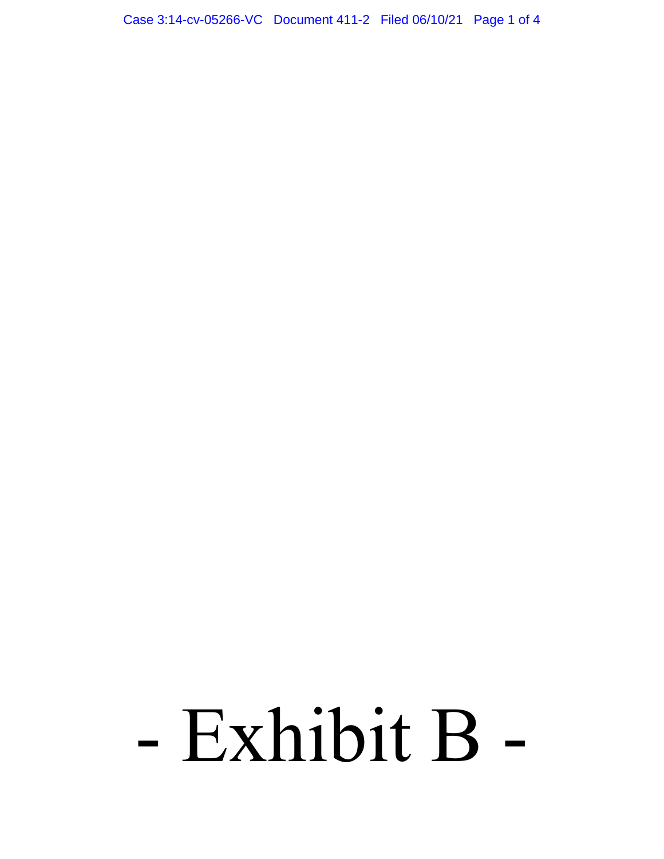Case 3:14-cv-05266-VC Document 411-2 Filed 06/10/21 Page 1 of 4

# - Exhibit B -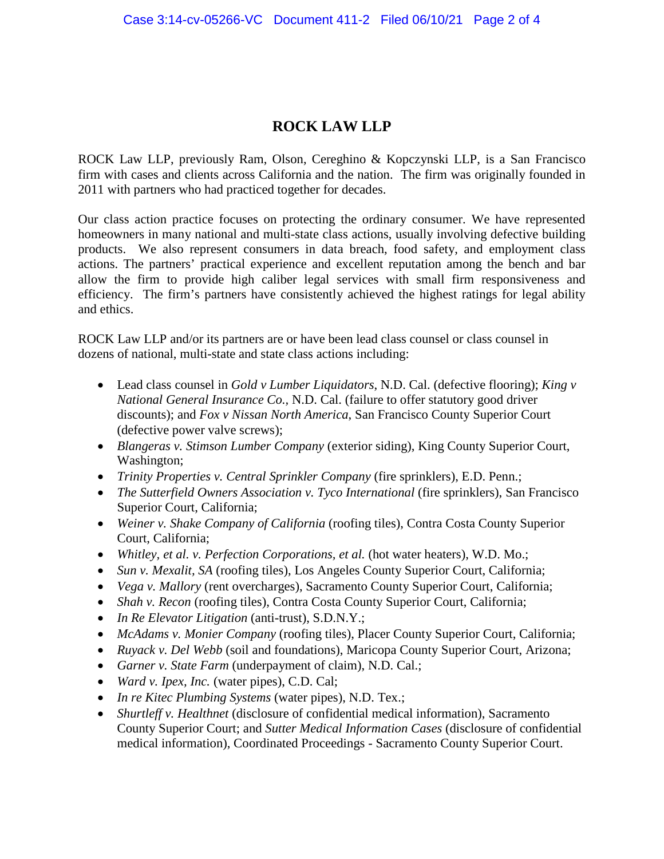### **ROCK LAW LLP**

ROCK Law LLP, previously Ram, Olson, Cereghino & Kopczynski LLP, is a San Francisco firm with cases and clients across California and the nation. The firm was originally founded in 2011 with partners who had practiced together for decades.

Our class action practice focuses on protecting the ordinary consumer. We have represented homeowners in many national and multi-state class actions, usually involving defective building products. We also represent consumers in data breach, food safety, and employment class actions. The partners' practical experience and excellent reputation among the bench and bar allow the firm to provide high caliber legal services with small firm responsiveness and efficiency. The firm's partners have consistently achieved the highest ratings for legal ability and ethics.

ROCK Law LLP and/or its partners are or have been lead class counsel or class counsel in dozens of national, multi-state and state class actions including:

- Lead class counsel in *Gold v Lumber Liquidators*, N.D. Cal. (defective flooring); *King v National General Insurance Co.,* N.D. Cal. (failure to offer statutory good driver discounts); and *Fox v Nissan North America*, San Francisco County Superior Court (defective power valve screws);
- *Blangeras v. Stimson Lumber Company* (exterior siding), King County Superior Court, Washington;
- *Trinity Properties v. Central Sprinkler Company* (fire sprinklers), E.D. Penn.;
- *The Sutterfield Owners Association v. Tyco International* (fire sprinklers), San Francisco Superior Court, California;
- *Weiner v. Shake Company of California* (roofing tiles), Contra Costa County Superior Court, California;
- *Whitley, et al. v. Perfection Corporations, et al.* (hot water heaters), W.D. Mo.;
- *Sun v. Mexalit, SA* (roofing tiles), Los Angeles County Superior Court, California;
- *Vega v. Mallory* (rent overcharges), Sacramento County Superior Court, California;
- *Shah v. Recon* (roofing tiles), Contra Costa County Superior Court, California;
- *In Re Elevator Litigation* (anti-trust), S.D.N.Y.;
- *McAdams v. Monier Company* (roofing tiles), Placer County Superior Court, California;
- *Ruyack v. Del Webb* (soil and foundations), Maricopa County Superior Court, Arizona;
- *Garner v. State Farm* (underpayment of claim), N.D. Cal.;
- *Ward v. Ipex, Inc.* (water pipes), C.D. Cal;
- *In re Kitec Plumbing Systems* (water pipes), N.D. Tex.;
- *Shurtleff v. Healthnet* (disclosure of confidential medical information), Sacramento County Superior Court; and *Sutter Medical Information Cases* (disclosure of confidential medical information), Coordinated Proceedings - Sacramento County Superior Court.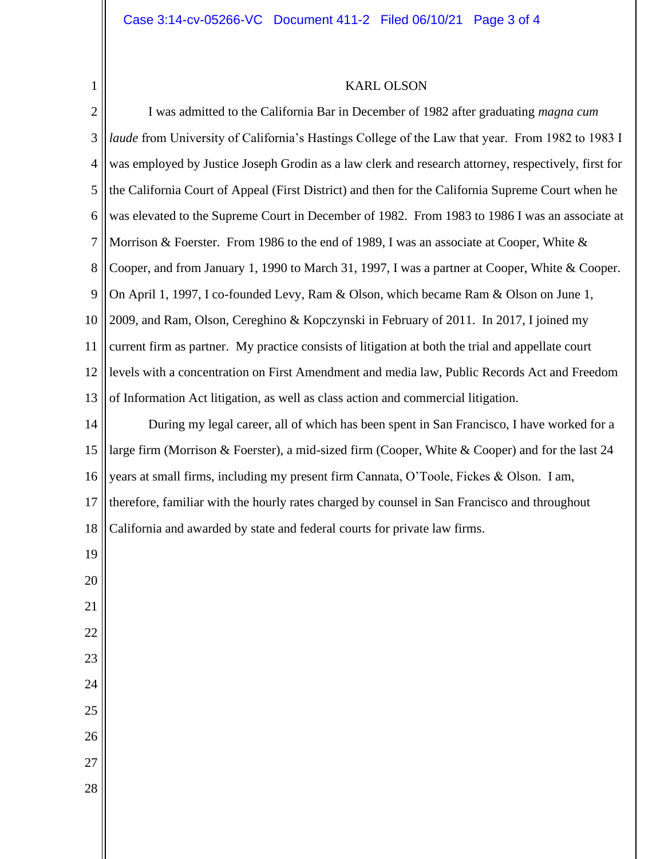1

### KARL OLSON

2 3 4 5 6 7 8 9 10 11 12 13 I was admitted to the California Bar in December of 1982 after graduating *magna cum laude* from University of California's Hastings College of the Law that year. From 1982 to 1983 I was employed by Justice Joseph Grodin as a law clerk and research attorney, respectively, first for the California Court of Appeal (First District) and then for the California Supreme Court when he was elevated to the Supreme Court in December of 1982. From 1983 to 1986 I was an associate at Morrison & Foerster. From 1986 to the end of 1989, I was an associate at Cooper, White & Cooper, and from January 1, 1990 to March 31, 1997, I was a partner at Cooper, White & Cooper. On April 1, 1997, I co-founded Levy, Ram & Olson, which became Ram & Olson on June 1, 2009, and Ram, Olson, Cereghino & Kopczynski in February of 2011. In 2017, I joined my current firm as partner. My practice consists of litigation at both the trial and appellate court levels with a concentration on First Amendment and media law, Public Records Act and Freedom of Information Act litigation, as well as class action and commercial litigation.

14 15 16 17 18 19 During my legal career, all of which has been spent in San Francisco, I have worked for a large firm (Morrison & Foerster), a mid-sized firm (Cooper, White & Cooper) and for the last 24 years at small firms, including my present firm Cannata, O'Toole, Fickes & Olson. I am, therefore, familiar with the hourly rates charged by counsel in San Francisco and throughout California and awarded by state and federal courts for private law firms.

- 20
- 21 22
- 23 24
- 25
- 
- 26
- 27
- 28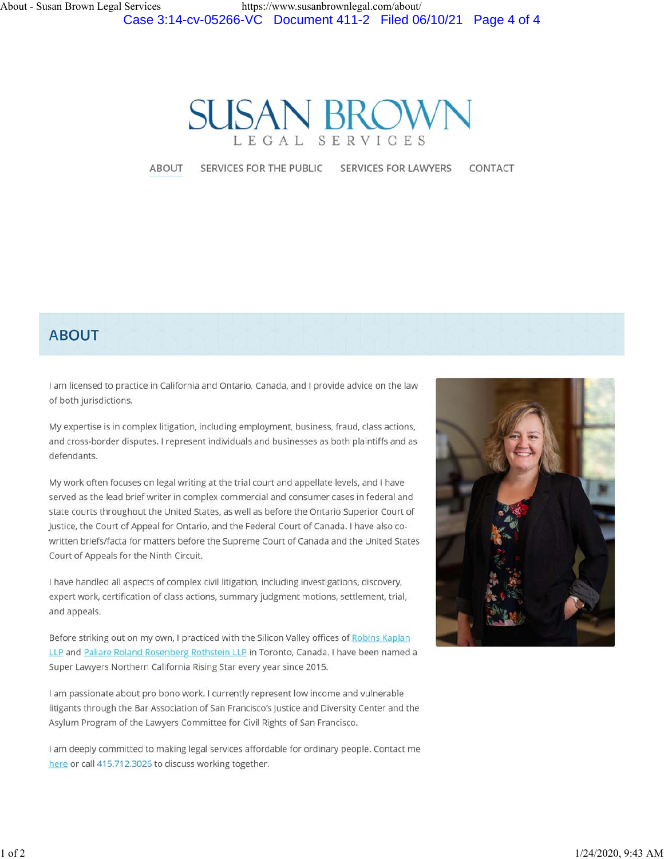

ABOUT

SERVICES FOR THE PUBLIC

**SERVICES FOR LAWYERS** 

CONTACT

### **ABOUT**

I am licensed to practice in California and Ontario, Canada, and I provide advice on the law of both jurisdictions.

My expertise is in complex litigation, including employment, business, fraud, class actions, and cross-border disputes. I represent individuals and businesses as both plaintiffs and as defendants.

My work often focuses on legal writing at the trial court and appellate levels, and I have served as the lead brief writer in complex commercial and consumer cases in federal and state courts throughout the United States, as well as before the Ontario Superior Court of Justice, the Court of Appeal for Ontario, and the Federal Court of Canada. I have also cowritten briefs/facta for matters before the Supreme Court of Canada and the United States Court of Appeals for the Ninth Circuit.

I have handled all aspects of complex civil litigation, including investigations, discovery, expert work, certification of class actions, summary judgment motions, settlement, trial, and appeals.

Before striking out on my own, I practiced with the Silicon Valley offices of Robins Kaplan LLP and Paliare Roland Rosenberg Rothstein LLP in Toronto, Canada. I have been named a Super Lawyers Northern California Rising Star every year since 2015.

I am passionate about pro bono work. I currently represent low income and vulnerable litigants through the Bar Association of San Francisco's Justice and Diversity Center and the Asylum Program of the Lawyers Committee for Civil Rights of San Francisco.

I am deeply committed to making legal services affordable for ordinary people. Contact me here or call 415.712.3026 to discuss working together.

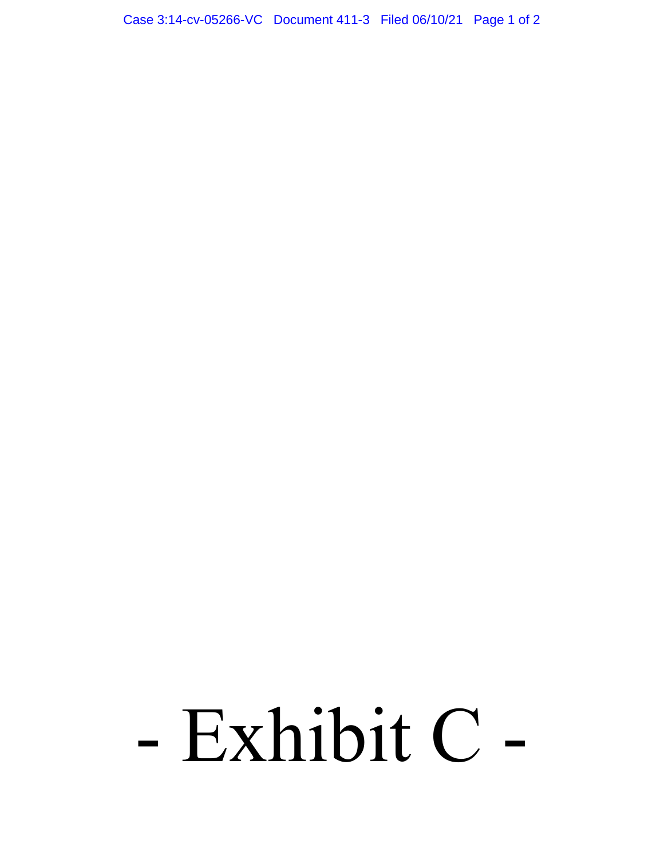Case 3:14-cv-05266-VC Document 411-3 Filed 06/10/21 Page 1 of 2

# - Exhibit C -